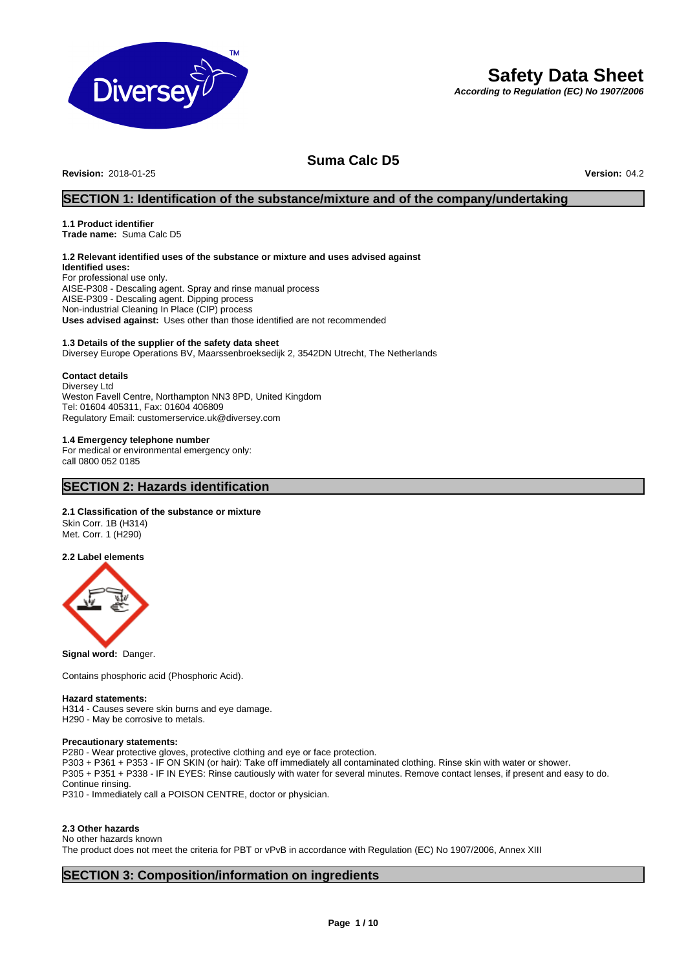

# **Safety Data Sheet**

*According to Regulation (EC) No 1907/2006*

# **Suma Calc D5**

**Revision:** 2018-01-25 **Version:** 04.2

# **SECTION 1: Identification of the substance/mixture and of the company/undertaking**

# **1.1 Product identifier**

**Trade name:** Suma Calc D5

# **1.2 Relevant identified uses of the substance or mixture and uses advised against**

**Identified uses:** For professional use only. AISE-P308 - Descaling agent. Spray and rinse manual process AISE-P309 - Descaling agent. Dipping process Non-industrial Cleaning In Place (CIP) process **Uses advised against:** Uses other than those identified are not recommended

#### **1.3 Details of the supplier of the safety data sheet**

Diversey Europe Operations BV, Maarssenbroeksedijk 2, 3542DN Utrecht, The Netherlands

### **Contact details**

Diversey Ltd Weston Favell Centre, Northampton NN3 8PD, United Kingdom Tel: 01604 405311, Fax: 01604 406809 Regulatory Email: customerservice.uk@diversey.com

### **1.4 Emergency telephone number**

For medical or environmental emergency only: call 0800 052 0185

### **SECTION 2: Hazards identification**

#### **2.1 Classification of the substance or mixture**

Skin Corr. 1B (H314) Met. Corr. 1 (H290)

#### **2.2 Label elements**



**Signal word:** Danger.

Contains phosphoric acid (Phosphoric Acid).

#### **Hazard statements:**

H314 - Causes severe skin burns and eye damage. H290 - May be corrosive to metals.

#### **Precautionary statements:**

P280 - Wear protective gloves, protective clothing and eye or face protection.

P303 + P361 + P353 - IF ON SKIN (or hair): Take off immediately all contaminated clothing. Rinse skin with water or shower.

P305 + P351 + P338 - IF IN EYES: Rinse cautiously with water for several minutes. Remove contact lenses, if present and easy to do. Continue rinsing.

P310 - Immediately call a POISON CENTRE, doctor or physician.

#### **2.3 Other hazards**

No other hazards known

The product does not meet the criteria for PBT or vPvB in accordance with Regulation (EC) No 1907/2006, Annex XIII

# **SECTION 3: Composition/information on ingredients**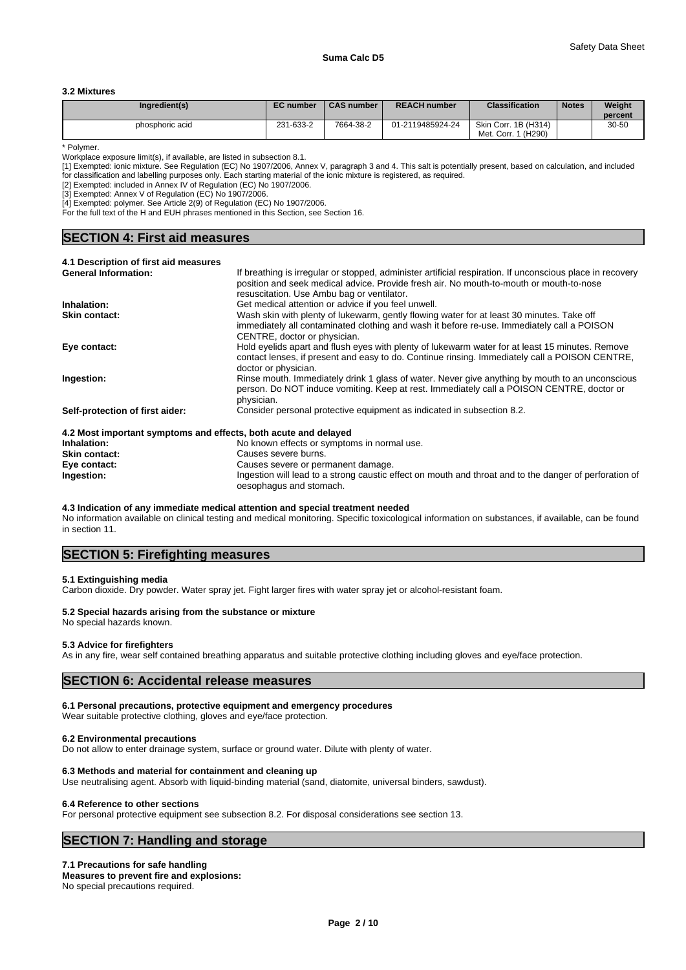#### **3.2 Mixtures**

| Ingredient(s)   | <b>EC</b> number | <b>CAS number</b> | <b>REACH number</b> | <b>Classification</b>                                     | <b>Notes</b> | Weight<br>percent |
|-----------------|------------------|-------------------|---------------------|-----------------------------------------------------------|--------------|-------------------|
| phosphoric acid | 231-633-2        | 7664-38-2         | 01-2119485924-24    | Skin Corr. 1B (H314)<br>(H <sub>290</sub> )<br>Met. Corr. |              | 30-50             |

\* Polymer.

Workplace exposure limit(s), if available, are listed in subsection 8.1.

[1] Exempted: ionic mixture. See Regulation (EC) No 1907/2006, Annex V, paragraph 3 and 4. This salt is potentially present, based on calculation, and included for classification and labelling purposes only. Each starting material of the ionic mixture is registered, as required.

[2] Exempted: included in Annex IV of Regulation (EC) No 1907/2006.

[3] Exempted: Annex V of Regulation (EC) No 1907/2006.

[4] Exempted: polymer. See Article 2(9) of Regulation (EC) No 1907/2006.

For the full text of the H and EUH phrases mentioned in this Section, see Section 16.

# **SECTION 4: First aid measures**

| 4.1 Description of first aid measures                           |                                                                                                           |
|-----------------------------------------------------------------|-----------------------------------------------------------------------------------------------------------|
| <b>General Information:</b>                                     | If breathing is irregular or stopped, administer artificial respiration. If unconscious place in recovery |
|                                                                 | position and seek medical advice. Provide fresh air. No mouth-to-mouth or mouth-to-nose                   |
|                                                                 | resuscitation. Use Ambu bag or ventilator.                                                                |
| Inhalation:                                                     | Get medical attention or advice if you feel unwell.                                                       |
| <b>Skin contact:</b>                                            | Wash skin with plenty of lukewarm, gently flowing water for at least 30 minutes. Take off                 |
|                                                                 | immediately all contaminated clothing and wash it before re-use. Immediately call a POISON                |
|                                                                 | CENTRE, doctor or physician.                                                                              |
| Eye contact:                                                    | Hold eyelids apart and flush eyes with plenty of lukewarm water for at least 15 minutes. Remove           |
|                                                                 | contact lenses, if present and easy to do. Continue rinsing. Immediately call a POISON CENTRE,            |
|                                                                 | doctor or physician.                                                                                      |
| Ingestion:                                                      | Rinse mouth. Immediately drink 1 glass of water. Never give anything by mouth to an unconscious           |
|                                                                 | person. Do NOT induce vomiting. Keep at rest. Immediately call a POISON CENTRE, doctor or                 |
|                                                                 | physician.                                                                                                |
| Self-protection of first aider:                                 | Consider personal protective equipment as indicated in subsection 8.2.                                    |
|                                                                 |                                                                                                           |
| 4.2 Most important symptoms and effects, both acute and delayed |                                                                                                           |
| Inhalation:                                                     | No known effects or symptoms in normal use.                                                               |

| iis moot important of inpromo and onoolog soun availy and abia for |                                                                                                        |
|--------------------------------------------------------------------|--------------------------------------------------------------------------------------------------------|
| Inhalation:                                                        | No known effects or symptoms in normal use.                                                            |
| <b>Skin contact:</b>                                               | Causes severe burns.                                                                                   |
| Eve contact:                                                       | Causes severe or permanent damage.                                                                     |
| Ingestion:                                                         | Ingestion will lead to a strong caustic effect on mouth and throat and to the danger of perforation of |
|                                                                    | oesophagus and stomach.                                                                                |

#### **4.3 Indication of any immediate medical attention and special treatment needed**

No information available on clinical testing and medical monitoring. Specific toxicological information on substances, if available, can be found in section 11.

# **SECTION 5: Firefighting measures**

#### **5.1 Extinguishing media**

Carbon dioxide. Dry powder. Water spray jet. Fight larger fires with water spray jet or alcohol-resistant foam.

#### **5.2 Special hazards arising from the substance or mixture**

# No special hazards known. **5.3 Advice for firefighters**

As in any fire, wear self contained breathing apparatus and suitable protective clothing including gloves and eye/face protection.

### **SECTION 6: Accidental release measures**

#### **6.1 Personal precautions, protective equipment and emergency procedures**

Wear suitable protective clothing, gloves and eye/face protection.

#### **6.2 Environmental precautions**

Do not allow to enter drainage system, surface or ground water. Dilute with plenty of water.

#### **6.3 Methods and material for containment and cleaning up**

Use neutralising agent. Absorb with liquid-binding material (sand, diatomite, universal binders, sawdust).

#### **6.4 Reference to other sections**

For personal protective equipment see subsection 8.2. For disposal considerations see section 13.

# **SECTION 7: Handling and storage**

#### **7.1 Precautions for safe handling**

**Measures to prevent fire and explosions:** No special precautions required.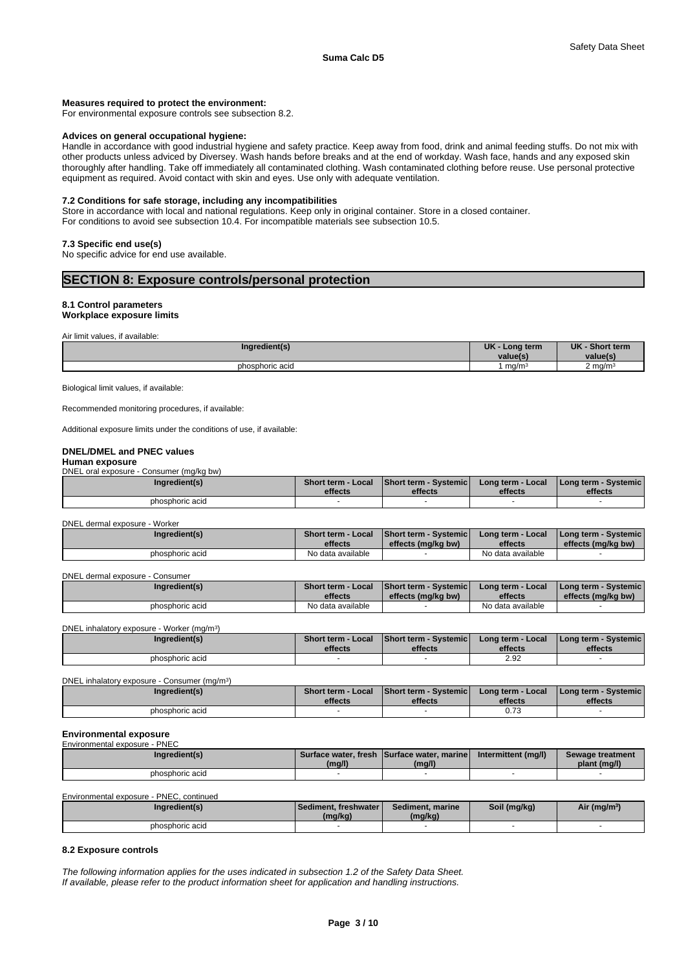#### **Measures required to protect the environment:**

For environmental exposure controls see subsection 8.2.

#### **Advices on general occupational hygiene:**

Handle in accordance with good industrial hygiene and safety practice. Keep away from food, drink and animal feeding stuffs. Do not mix with other products unless adviced by Diversey. Wash hands before breaks and at the end of workday. Wash face, hands and any exposed skin thoroughly after handling. Take off immediately all contaminated clothing. Wash contaminated clothing before reuse. Use personal protective equipment as required. Avoid contact with skin and eyes. Use only with adequate ventilation.

#### **7.2 Conditions for safe storage, including any incompatibilities**

Store in accordance with local and national regulations. Keep only in original container. Store in a closed container. For conditions to avoid see subsection 10.4. For incompatible materials see subsection 10.5.

#### **7.3 Specific end use(s)**

No specific advice for end use available.

### **SECTION 8: Exposure controls/personal protection**

#### **8.1 Control parameters**

**Workplace exposure limits**

|  |  | Air limit values, if available: |  |
|--|--|---------------------------------|--|
|  |  |                                 |  |

Biological limit values, if available:

Recommended monitoring procedures, if available:

Additional exposure limits under the conditions of use, if available:

### **DNEL/DMEL and PNEC values**

#### **Human exposure**

DNEL oral exposure - Consumer (mg/kg bw)

| Ingredient(s)   | <b>Short term - Local</b><br>effects | <b>Short term - Systemicl</b><br>effects | Long term - Local<br>effects | <b>I Long term - Systemic I</b><br>effects |  |
|-----------------|--------------------------------------|------------------------------------------|------------------------------|--------------------------------------------|--|
| phosphoric acid |                                      |                                          |                              |                                            |  |

#### DNEL dermal exposure - Worker

| Ingredient(s)   | Short term -<br>Local<br>effects | Short term - Systemic<br>effects (ma/ka bw) | Long term - Local<br>effects | <b>I Long term - Systemic i</b><br>effects (mg/kg bw) |
|-----------------|----------------------------------|---------------------------------------------|------------------------------|-------------------------------------------------------|
| phosphoric acid | No data available                |                                             | No data available            |                                                       |

#### DNEL dermal exposure - Consumer

| Ingredient(s)   | <b>Short term - Local</b><br>effects | <b>Short term - Systemic F</b><br>effects (ma/ka bw) | 'Long term - Local<br>effects | <b>I Long term - Systemic i</b><br>effects (mg/kg bw) |
|-----------------|--------------------------------------|------------------------------------------------------|-------------------------------|-------------------------------------------------------|
| phosphoric acid | No data available                    |                                                      | No data available             |                                                       |

DNEL inhalatory exposure - Worker (mg/m<sup>3</sup>

| DNEL inhalatory exposure - Worker (mg/m <sup>3</sup> ) |                                      |                                  |                              |                                            |
|--------------------------------------------------------|--------------------------------------|----------------------------------|------------------------------|--------------------------------------------|
| Ingredient(s)                                          | <b>Short term - Local</b><br>effects | Short term - Systemic<br>effects | Long term - Local<br>effects | <b>I Long term - Systemic I</b><br>effects |
| phosphoric acid                                        |                                      |                                  | 2.92                         |                                            |

| DNEL inhalatory exposure - Consumer (mg/m <sup>3</sup> ) |                 |                                      |                                         |                              |                                            |  |  |  |
|----------------------------------------------------------|-----------------|--------------------------------------|-----------------------------------------|------------------------------|--------------------------------------------|--|--|--|
|                                                          | Ingredient(s)   | <b>Short term - Local</b><br>effects | <b>Short term - Systemic</b><br>effects | Long term - Local<br>effects | <b>I Long term - Systemic I</b><br>effects |  |  |  |
|                                                          |                 |                                      |                                         |                              |                                            |  |  |  |
|                                                          | phosphoric acid |                                      |                                         | 0.73                         |                                            |  |  |  |

#### **Environmental exposure**

| Environmental exposure - PNEC |        |                                                       |                     |                                  |
|-------------------------------|--------|-------------------------------------------------------|---------------------|----------------------------------|
| Ingredient(s)                 | (mg/l) | Surface water, fresh Surface water, marinel<br>(mg/l) | Intermittent (mg/l) | Sewage treatment<br>plant (mg/l) |
| phosphoric acid               |        |                                                       |                     |                                  |

Environmental exposure - PNEC, continued

| <b>redient(s)</b> | l Sediment. freshwater l<br>(mg/kg | Sediment, marine<br>(mg/kg | (mg/kg) | r (mg/m <sup>3</sup> ) |
|-------------------|------------------------------------|----------------------------|---------|------------------------|
| phosphoric acid   |                                    |                            |         |                        |

#### **8.2 Exposure controls**

*The following information applies for the uses indicated in subsection 1.2 of the Safety Data Sheet. If available, please refer to the product information sheet for application and handling instructions.*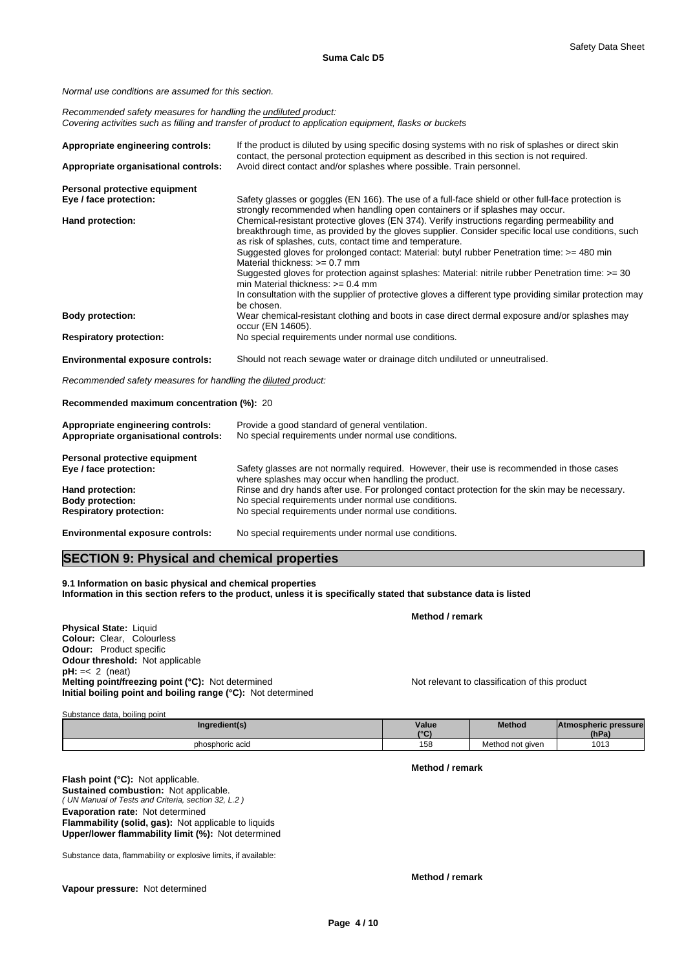*Normal use conditions are assumed for this section.*

*Recommended safety measures for handling the undiluted product: Covering activities such as filling and transfer of product to application equipment, flasks or buckets*

| Appropriate engineering controls:       | If the product is diluted by using specific dosing systems with no risk of splashes or direct skin<br>contact, the personal protection equipment as described in this section is not required.                                                                                                                                                                                                                                                                                                                                                    |
|-----------------------------------------|---------------------------------------------------------------------------------------------------------------------------------------------------------------------------------------------------------------------------------------------------------------------------------------------------------------------------------------------------------------------------------------------------------------------------------------------------------------------------------------------------------------------------------------------------|
| Appropriate organisational controls:    | Avoid direct contact and/or splashes where possible. Train personnel.                                                                                                                                                                                                                                                                                                                                                                                                                                                                             |
| Personal protective equipment           |                                                                                                                                                                                                                                                                                                                                                                                                                                                                                                                                                   |
| Eye / face protection:                  | Safety glasses or goggles (EN 166). The use of a full-face shield or other full-face protection is<br>strongly recommended when handling open containers or if splashes may occur.                                                                                                                                                                                                                                                                                                                                                                |
| Hand protection:                        | Chemical-resistant protective gloves (EN 374). Verify instructions regarding permeability and<br>breakthrough time, as provided by the gloves supplier. Consider specific local use conditions, such<br>as risk of splashes, cuts, contact time and temperature.<br>Suggested gloves for prolonged contact: Material: butyl rubber Penetration time: >= 480 min<br>Material thickness: $>= 0.7$ mm<br>Suggested gloves for protection against splashes: Material: nitrile rubber Penetration time: >= 30<br>min Material thickness: $\geq 0.4$ mm |
|                                         | In consultation with the supplier of protective gloves a different type providing similar protection may<br>be chosen.                                                                                                                                                                                                                                                                                                                                                                                                                            |
| <b>Body protection:</b>                 | Wear chemical-resistant clothing and boots in case direct dermal exposure and/or splashes may<br>occur (EN 14605).                                                                                                                                                                                                                                                                                                                                                                                                                                |
| <b>Respiratory protection:</b>          | No special requirements under normal use conditions.                                                                                                                                                                                                                                                                                                                                                                                                                                                                                              |
| <b>Environmental exposure controls:</b> | Should not reach sewage water or drainage ditch undiluted or unneutralised.                                                                                                                                                                                                                                                                                                                                                                                                                                                                       |
|                                         |                                                                                                                                                                                                                                                                                                                                                                                                                                                                                                                                                   |

*Recommended safety measures for handling the diluted product:*

**Recommended maximum concentration (%):** 20

| Appropriate engineering controls:<br>Appropriate organisational controls: | Provide a good standard of general ventilation.<br>No special requirements under normal use conditions.                                           |
|---------------------------------------------------------------------------|---------------------------------------------------------------------------------------------------------------------------------------------------|
| Personal protective equipment                                             |                                                                                                                                                   |
| Eye / face protection:                                                    | Safety glasses are not normally required. However, their use is recommended in those cases<br>where splashes may occur when handling the product. |
| Hand protection:                                                          | Rinse and dry hands after use. For prolonged contact protection for the skin may be necessary.                                                    |
| <b>Body protection:</b>                                                   | No special requirements under normal use conditions.                                                                                              |
| <b>Respiratory protection:</b>                                            | No special requirements under normal use conditions.                                                                                              |

**Environmental exposure controls:** No special requirements under normal use conditions.

# **SECTION 9: Physical and chemical properties**

**9.1 Information on basic physical and chemical properties Information in this section refers to the product, unless it is specifically stated that substance data is listed**

**Physical State:** Liquid **Colour:** Clear, Colourless **Odour:** Product specific **Odour threshold:** Not applicable **pH:** =< 2 (neat) **Melting point/freezing point (°C):** Not determined Not relevant to classification of this product **Initial boiling point and boiling range (°C):** Not determined

| Substance data.<br>., boiling point |                   |                  |                             |
|-------------------------------------|-------------------|------------------|-----------------------------|
| Ingredient(s)                       | Value             | <b>Method</b>    | <b>Atmospheric pressure</b> |
|                                     | $\sim$<br>$\cdot$ |                  | (hPa)                       |
| phosphoric acid                     | 158               | Method not given | 1013                        |

**Method / remark**

**Method / remark**

*( UN Manual of Tests and Criteria, section 32, L.2 )* **Flash point (°C):** Not applicable. **Sustained combustion:** Not applicable. **Evaporation rate:** Not determined **Flammability (solid, gas):** Not applicable to liquids **Upper/lower flammability limit (%):** Not determined

Substance data, flammability or explosive limits, if available:

**Vapour pressure:** Not determined

**Method / remark**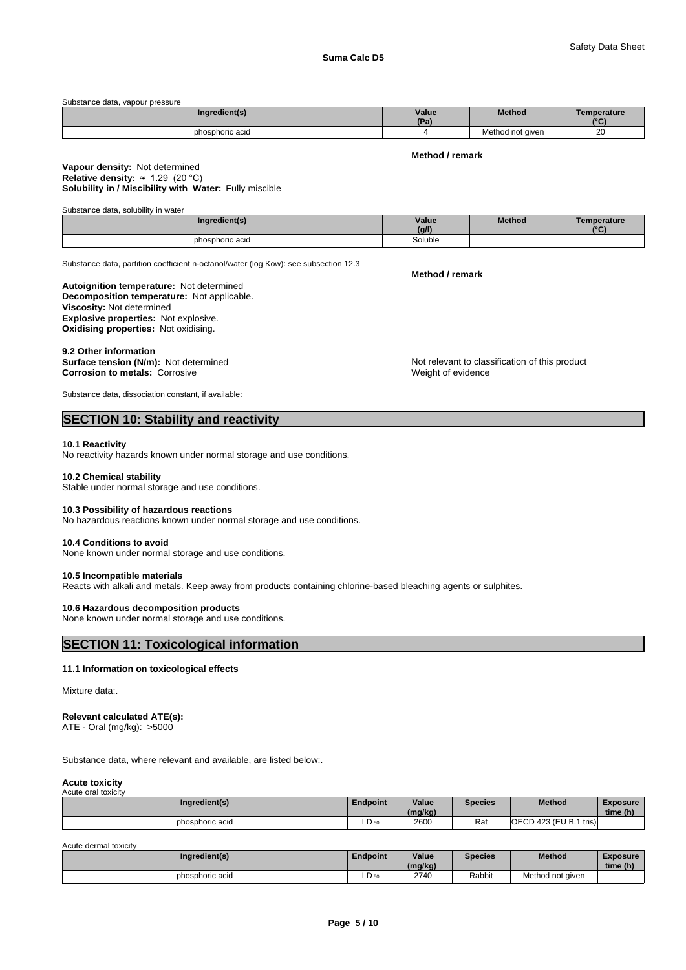| Substance data, vapour pressure |       |                  |             |
|---------------------------------|-------|------------------|-------------|
| Ingredient(s)                   | Value | <b>Method</b>    | Temperature |
|                                 | (Pa)  |                  | $\sim$      |
| phosphoric acid                 |       | Method not given | 20          |

#### **Method / remark**

#### **Solubility in / Miscibility with Water:** Fully miscible **Vapour density:** Not determined **Relative density:** ≈1.29(20°C)

| Substance data, solubility in water |                |               |                                |
|-------------------------------------|----------------|---------------|--------------------------------|
| Ingredient(s)                       | Value<br>(g/l) | <b>Method</b> | Temperature<br>10 <sub>0</sub> |
| phosphoric acid                     | Soluble        |               |                                |

Substance data, partition coefficient n-octanol/water (log Kow): see subsection 12.3

#### **Decomposition temperature:** Not applicable. **Autoignition temperature:** Not determined **Viscosity:** Not determined **Explosive properties:** Not explosive. **Oxidising properties:** Not oxidising.

# 9.2 Other information<br>Surface tension (N/m): Not determined

**Corrosion to metals: Corrosive** 

Substance data, dissociation constant, if available:

# **SECTION 10: Stability and reactivity**

#### **10.1 Reactivity**

No reactivity hazards known under normal storage and use conditions.

#### **10.2 Chemical stability**

Stable under normal storage and use conditions.

#### **10.3 Possibility of hazardous reactions**

No hazardous reactions known under normal storage and use conditions.

#### **10.4 Conditions to avoid**

None known under normal storage and use conditions.

#### **10.5 Incompatible materials**

Reacts with alkali and metals. Keep away from products containing chlorine-based bleaching agents or sulphites.

#### **10.6 Hazardous decomposition products**

None known under normal storage and use conditions.

## **SECTION 11: Toxicological information**

#### **11.1 Information on toxicological effects**

Mixture data:.

#### **Relevant calculated ATE(s):**

ATE - Oral (mg/kg): >5000

Substance data, where relevant and available, are listed below:.

#### **Acute toxicity** Acute oral toxicity

| Ingredient(s)   | Endpoint | Value<br>(mg/kg) | <b>Species</b> | Method                   | <b>Exposure</b><br>time (h) |
|-----------------|----------|------------------|----------------|--------------------------|-----------------------------|
| phosphoric acid | LD 50    | 2600             | Rat            | [OECD 423 (EU B.1 tris)] |                             |

Acute dermal toxicity

| Ingredient(s)   | Endpoint | Value<br>(mg/kg) | <b>Species</b> | <b>Method</b>    | Exposure<br>time (h) |
|-----------------|----------|------------------|----------------|------------------|----------------------|
| phosphoric acid | LD 50    | 2740             | Rabbit         | Method not aiven |                      |

**Method / remark**

Not relevant to classification of this product<br>Weight of evidence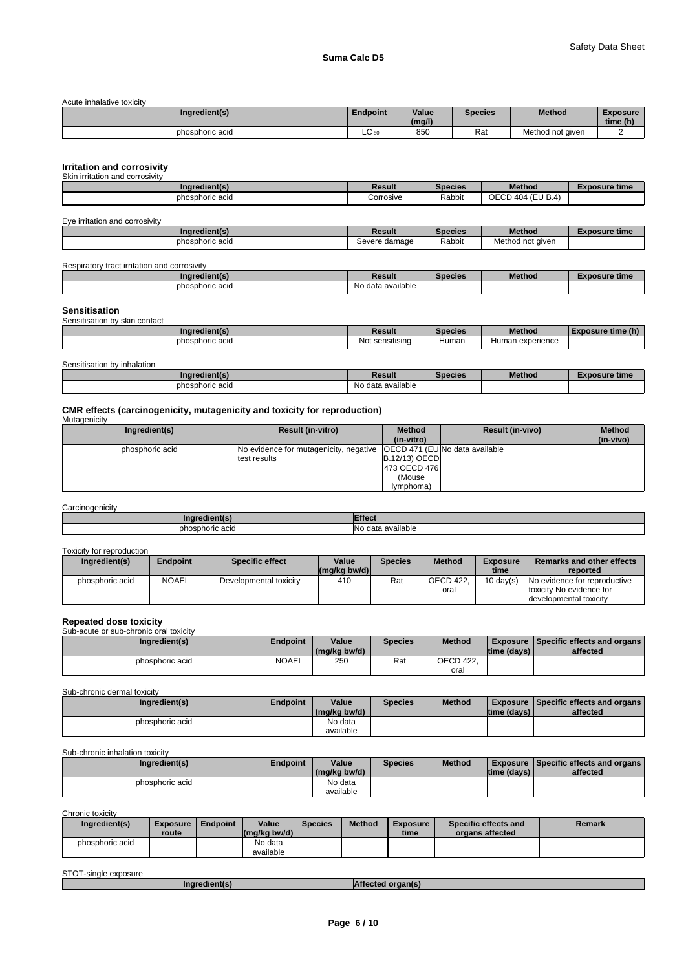Acute inhalative toxicity

| Ingredient(s)   | <b>Endpoint</b> | Value<br>(mg/l) | Species | <b>Method</b>    | Exposure<br>time (h) |
|-----------------|-----------------|-----------------|---------|------------------|----------------------|
| phosphoric acid | $\sim$<br>ືບຫ   | 85C             | Rat     | Method not given |                      |

#### **Irritation and corrosivity**

| Skin<br>.∩ and corrosivitv<br>irritation |           |         |                        |                   |
|------------------------------------------|-----------|---------|------------------------|-------------------|
| Ingredient(s)                            | Result    | Species | <b>Method</b>          | osure time<br>-xv |
| phosphoric acid                          | Corrosive | Rabbit  | ) 404 (EU B.4)<br>OECD |                   |

| Eye irritation and corrosivity |               |         |                  |               |
|--------------------------------|---------------|---------|------------------|---------------|
| Inaredient(s)                  | <b>Result</b> | Species | <b>Method</b>    | Exposure time |
| phosphoric acid                | Severe damage | Rabbit  | Method not given |               |

| Respiratory<br>v tract irritation and corrosivitv |                   |                |               |            |
|---------------------------------------------------|-------------------|----------------|---------------|------------|
| Ingredient(s)                                     | Result            | <b>Species</b> | <b>Method</b> | osure time |
| phosphoric acid                                   | No data available |                |               |            |

# **Sensitisation** Sensitisation by skin contact

| Ingredient(s)   | Result                    | ecres | Method           | $-0.011$ |
|-----------------|---------------------------|-------|------------------|----------|
| phosphoric acid | sensitising<br><b>Not</b> | Human | Human experience |          |

| Sensitisation by inhalation |                   |                |               |               |
|-----------------------------|-------------------|----------------|---------------|---------------|
| Ingredient(s)               | Result            | <b>Species</b> | <b>Method</b> | Exposure time |
| phosphoric acid             | No data available |                |               |               |

# **CMR effects (carcinogenicity, mutagenicity and toxicity for reproduction)**

| . .<br>Mutagenicity |                                                                         |                      |                         |               |
|---------------------|-------------------------------------------------------------------------|----------------------|-------------------------|---------------|
| Ingredient(s)       | <b>Result (in-vitro)</b>                                                | <b>Method</b>        | <b>Result (in-vivo)</b> | <b>Method</b> |
|                     |                                                                         | (in-vitro)           |                         | (in-vivo)     |
| phosphoric acid     | No evidence for mutagenicity, negative   OECD 471 (EU No data available |                      |                         |               |
|                     | test results                                                            | <b>B.12/13) OECD</b> |                         |               |
|                     |                                                                         | 473 OECD 476         |                         |               |
|                     |                                                                         | (Mouse)              |                         |               |
|                     |                                                                         | lymphoma)            |                         |               |

#### **Carcinogenicity**

| .<br>™enti           | .                                                    |
|----------------------|------------------------------------------------------|
| phosphoric acid<br>. | $\cdots$<br>available<br>$A^{\sim}$<br>- Oʻzi<br>างเ |

### Toxicity for reproduction

| Ingredient(s)   | <b>Endpoint</b> | Specific effect        | Value<br>$\left \frac{\text{mg}}{\text{kg}}\right $ bw/d) | Species | <b>Method</b>    | <b>Exposure</b><br>time | <b>Remarks and other effects</b><br>reported |
|-----------------|-----------------|------------------------|-----------------------------------------------------------|---------|------------------|-------------------------|----------------------------------------------|
| phosphoric acid | <b>NOAEL</b>    | Developmental toxicity | 410                                                       | Rat     | <b>OECD 422.</b> | $10 \text{ day}(s)$     | No evidence for reproductive                 |
|                 |                 |                        |                                                           |         | oral             |                         | toxicity No evidence for                     |
|                 |                 |                        |                                                           |         |                  |                         | developmental toxicity                       |

# **Repeated dose toxicity** Sub-acute or sub-chronic oral toxicity

| Sup-acute or sup-critorily oral toxicity |                 |              |                |                  |              |                                             |
|------------------------------------------|-----------------|--------------|----------------|------------------|--------------|---------------------------------------------|
| Ingredient(s)                            | <b>Endpoint</b> | Value        | <b>Species</b> | <b>Method</b>    |              | <b>Exposure Specific effects and organs</b> |
|                                          |                 | (mg/kg bw/d) |                |                  | Itime (davs) | affected                                    |
| phosphoric acid                          | <b>NOAEL</b>    | 250          | Rat            | <b>OECD 422.</b> |              |                                             |
|                                          |                 |              |                | oral             |              |                                             |

Sub-chronic dermal toxicity

| Ingredient(s)   | <b>Endpoint</b> | Value<br>(mg/kg bw/d) | Species | <b>Method</b> | time (days) | <b>Exposure Specific effects and organs</b><br>affected |
|-----------------|-----------------|-----------------------|---------|---------------|-------------|---------------------------------------------------------|
| phosphoric acid |                 | No data<br>available  |         |               |             |                                                         |

#### Sub-chronic inhalation toxicity

| Ingredient(s)   | <b>Endpoint</b> | Value<br>(mg/kg bw/d) | <b>Species</b> | Method | time (days) | <b>Exposure Specific effects and organs I</b><br>affected |
|-----------------|-----------------|-----------------------|----------------|--------|-------------|-----------------------------------------------------------|
| phosphoric acid |                 | No data<br>available  |                |        |             |                                                           |

Chronic toxicity

| Ingredient(s)   | <b>Exposure</b><br>route | Endpoint | Value<br>$\lfloor (mq/kg) \cdot (md) \rfloor$ | <b>Species</b> | <b>Method</b> | Exposure<br>time | Specific effects and<br>organs affected | Remark |
|-----------------|--------------------------|----------|-----------------------------------------------|----------------|---------------|------------------|-----------------------------------------|--------|
| phosphoric acid |                          |          | No data<br>available                          |                |               |                  |                                         |        |

| STOT-single exposure |               |                   |  |
|----------------------|---------------|-------------------|--|
|                      | Ingredient(s) | Affected organ(s) |  |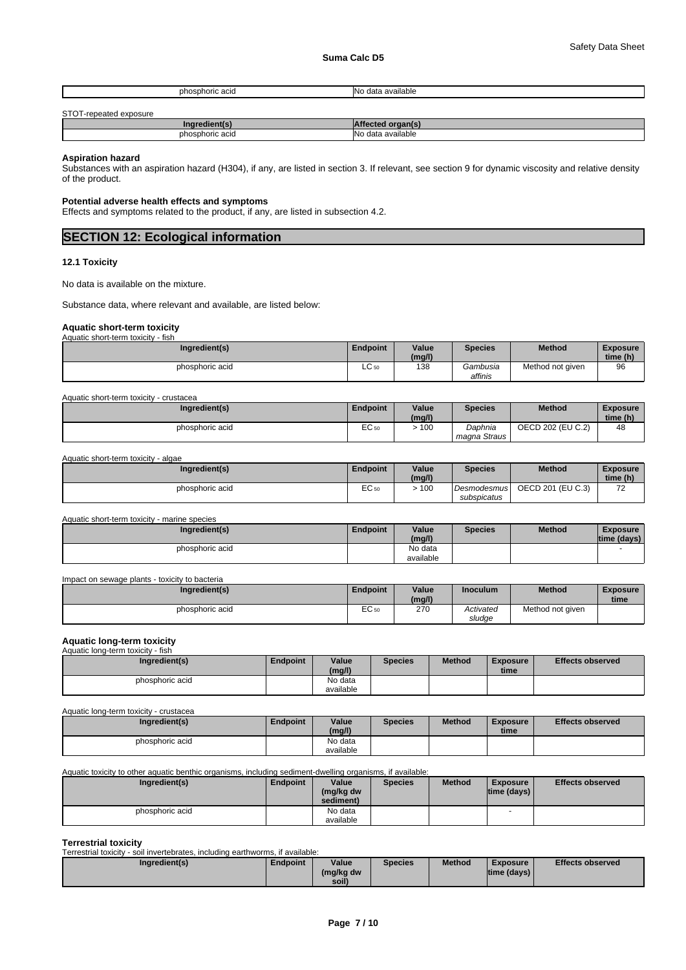| วsphoric acid<br>nhr.  | .<br>IN r<br>≅data available |
|------------------------|------------------------------|
|                        |                              |
| STOT-reneated exposure |                              |

| ا שו ט<br>ד הכתפטופה בצמטאות |                                 |
|------------------------------|---------------------------------|
| IAR                          |                                 |
| ph<br>hosphoric acid         | <b>IN∩</b><br>available<br>data |

**Aspiration hazard**

Substances with an aspiration hazard (H304), if any, are listed in section 3. If relevant, see section 9 for dynamic viscosity and relative density of the product.

### **Potential adverse health effects and symptoms**

Effects and symptoms related to the product, if any, are listed in subsection 4.2.

| <b>SECTION 12: Ecological information</b> |
|-------------------------------------------|
|-------------------------------------------|

#### **12.1 Toxicity**

No data is available on the mixture.

Substance data, where relevant and available, are listed below:

## **Aquatic short-term toxicity**

| Aquatic short-term toxicity - fish |                       |        |                            |                  |                 |
|------------------------------------|-----------------------|--------|----------------------------|------------------|-----------------|
| Ingredient(s)                      | <b>Endpoint</b>       | Value  | <b>Species</b>             | <b>Method</b>    | <b>Exposure</b> |
|                                    |                       | (mg/l) |                            |                  | time (h)        |
| phosphoric acid                    | $\sim$<br>--<br>ㄴㄴ 50 | 138    | <i>Gambusia</i><br>affinis | Method not given | 96              |

| Aquatic short-term toxicity - crustacea |                 |                 |                |                   |                             |
|-----------------------------------------|-----------------|-----------------|----------------|-------------------|-----------------------------|
| Ingredient(s)                           | <b>Endpoint</b> | Value<br>(mg/l) | <b>Species</b> | <b>Method</b>     | <b>Exposure</b><br>time (h) |
| phosphoric acid                         | EC 50           | 100             | Daphnia        | OECD 202 (EU C.2) | 48                          |
|                                         |                 |                 | magna Straus   |                   |                             |

Aquatic short-term toxicity - algae

| Ingredient(s)   | Endpoint                   | Value  | <b>Species</b> | <b>Method</b>     | Exposure                             |  |
|-----------------|----------------------------|--------|----------------|-------------------|--------------------------------------|--|
|                 |                            | (mg/l) |                |                   | time (h)                             |  |
| phosphoric acid | $E^{\sim}$<br><b>EC 50</b> | 100    | Desmodesmus    | OECD 201 (EU C.3) | $\overline{\phantom{a}}$<br><b>1</b> |  |
|                 |                            |        | subspicatus    |                   |                                      |  |

#### Aquatic short-term toxicity - marine species

| Ingredient(s)   | <b>Endpoint</b> | Value     | <b>Species</b> | <b>Method</b> | <b>Exposure</b> |
|-----------------|-----------------|-----------|----------------|---------------|-----------------|
|                 |                 | (mg/l)    |                |               | time (davs)     |
| phosphoric acid |                 | No data   |                |               |                 |
|                 |                 | available |                |               |                 |

#### Impact on sewage plants - toxicity to bacteria

| Ingredient(s)   | <b>Endpoint</b>  | Value<br>(mg/l) | Inoculum            | Method           | <b>Exposure</b><br>time |
|-----------------|------------------|-----------------|---------------------|------------------|-------------------------|
| phosphoric acid | EC <sub>50</sub> | 270<br>$\sim$   | Activated<br>sludge | Method not given |                         |

# **Aquatic long-term toxicity** Aquatic long-term toxicity - fish

| <b>AUGULO IVIIU-LEIIII LUAIULV</b><br>ாவா |          |                      |                |               |                         |                         |  |  |  |
|-------------------------------------------|----------|----------------------|----------------|---------------|-------------------------|-------------------------|--|--|--|
| Ingredient(s)                             | Endpoint | Value<br>(mg/l)      | <b>Species</b> | <b>Method</b> | <b>Exposure</b><br>time | <b>Effects observed</b> |  |  |  |
| phosphoric acid                           |          | No data<br>available |                |               |                         |                         |  |  |  |

Aquatic long-term toxicity - crustacea

| Ingredient(s)   | Endpoint | Value<br>(mg/l) | <b>Species</b> | <b>Method</b> | <b>Exposure</b><br>time | <b>Effects observed</b> |
|-----------------|----------|-----------------|----------------|---------------|-------------------------|-------------------------|
| phosphoric acid |          | No data         |                |               |                         |                         |
|                 |          | available       |                |               |                         |                         |

#### Aquatic toxicity to other aquatic benthic organisms, including sediment-dwelling organisms, if available:

| Ingredient(s)   | <b>Endpoint</b> | Value<br>(mg/kg dw<br>sediment) | <b>Species</b> | <b>Method</b> | <b>Exposure</b><br>$ time$ (days) $ $ | <b>Effects observed</b> |
|-----------------|-----------------|---------------------------------|----------------|---------------|---------------------------------------|-------------------------|
| phosphoric acid |                 | No data                         |                |               | $\sim$                                |                         |
|                 |                 | available                       |                |               |                                       |                         |

**Terrestrial toxicity** Terrestrial toxicity - soil invertebrates, including earthworms, if available:

| Ingredient(s) | Endpoint | Value              | <b>Species</b> | <b>Method</b> | <b>Exposure</b>    | <b>Effects observed</b> |
|---------------|----------|--------------------|----------------|---------------|--------------------|-------------------------|
|               |          | (mg/kg dw<br>soil) |                |               | $ time$ (days) $ $ |                         |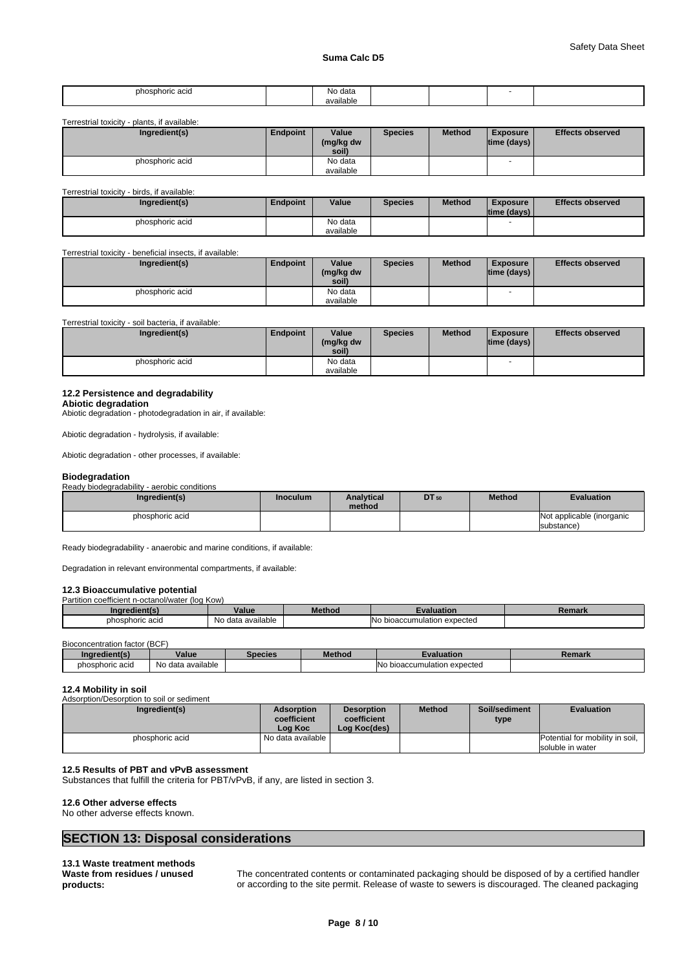| phosphoric acid<br>.<br>__ | No data<br>. |  |  |
|----------------------------|--------------|--|--|
|                            | available    |  |  |

Terrestrial toxicity - plants, if available:

| י ייטועט ושוויטטוויט<br>Diamo. Il avaliablo. |                 |                             |                |               |                                       |                         |
|----------------------------------------------|-----------------|-----------------------------|----------------|---------------|---------------------------------------|-------------------------|
| Ingredient(s)                                | <b>Endpoint</b> | Value<br>(mg/kg dw<br>soil) | <b>Species</b> | <b>Method</b> | <b>Exposure</b><br>$ time$ (days) $ $ | <b>Effects observed</b> |
| phosphoric acid                              |                 | No data<br>available        |                |               |                                       |                         |

Terrestrial toxicity - birds, if available:

| Ingredient(s)   | Endpoint | Value     | <b>Species</b> | <b>Method</b> | <b>Exposure</b><br>time (davs) | <b>Effects observed</b> |
|-----------------|----------|-----------|----------------|---------------|--------------------------------|-------------------------|
| phosphoric acid |          | No data   |                |               |                                |                         |
|                 |          | available |                |               |                                |                         |

Terrestrial toxicity - beneficial insects, if available:

| Ingredient(s)   | Endpoint | Value<br>(mg/kg dw<br>soil) | <b>Species</b> | <b>Method</b> | <b>Exposure</b><br>$ time$ (days) $ $ | <b>Effects observed</b> |
|-----------------|----------|-----------------------------|----------------|---------------|---------------------------------------|-------------------------|
| phosphoric acid |          | No data                     |                |               |                                       |                         |
|                 |          | available                   |                |               |                                       |                         |

Terrestrial toxicity - soil bacteria, if available:

| Ingredient(s)   | Endpoint | Value     | Species | <b>Method</b> | <b>Exposure</b>    | <b>Effects observed</b> |
|-----------------|----------|-----------|---------|---------------|--------------------|-------------------------|
|                 |          | (mg/kg dw |         |               | $ time$ (days) $ $ |                         |
|                 |          | soil)     |         |               |                    |                         |
| phosphoric acid |          | No data   |         |               | $\sim$             |                         |
|                 |          | available |         |               |                    |                         |

#### **12.2 Persistence and degradability**

**Abiotic degradation** Abiotic degradation - photodegradation in air, if available:

Abiotic degradation - hydrolysis, if available:

Abiotic degradation - other processes, if available:

## **Biodegradation**

Ready biodegradability - aerobic conditions

| Ingredient(s)   | <b>Inoculum</b> | <b>Analytical</b><br>method | <b>DT</b> 50 | <b>Method</b> | <b>Evaluation</b>         |
|-----------------|-----------------|-----------------------------|--------------|---------------|---------------------------|
| phosphoric acid |                 |                             |              |               | Not applicable (inorganic |
|                 |                 |                             |              |               | substance)                |

Ready biodegradability - anaerobic and marine conditions, if available:

Degradation in relevant environmental compartments, if available:

#### **12.3 Bioaccumulative potential**

Partition coefficient n-octanol/water (log Kow)

| aredient(s'<br>Ino | Value                                                                  | Method | dation                                         | <b>Damar</b><br>-ченіаг. |
|--------------------|------------------------------------------------------------------------|--------|------------------------------------------------|--------------------------|
| phosphoric acid    | .<br>available<br><b>N<sub>IO</sub></b><br>. A <sub>0</sub><br>iyo dal |        | <b>IN</b> o<br>າ expected<br>o bioaccumulation |                          |

Bioconcentration factor (BCF)

| redient(s)<br>.nar | Value                               | Species | Method | Evaluation                               | Remark |
|--------------------|-------------------------------------|---------|--------|------------------------------------------|--------|
| phosphoric acid    | $\cdots$<br>ı data available<br>No. |         |        | ı expected<br>. bioaccumulation ر<br>INC |        |

#### **12.4 Mobility in soil**

| Adsorption/Desorption to soil or sediment |                                             |                                                  |               |                       |                                                     |
|-------------------------------------------|---------------------------------------------|--------------------------------------------------|---------------|-----------------------|-----------------------------------------------------|
| Ingredient(s)                             | <b>Adsorption</b><br>coefficient<br>Loa Koc | <b>Desorption</b><br>coefficient<br>Log Koc(des) | <b>Method</b> | Soil/sediment<br>type | <b>Evaluation</b>                                   |
| phosphoric acid                           | l No data available                         |                                                  |               |                       | Potential for mobility in soil,<br>soluble in water |

#### **12.5 Results of PBT and vPvB assessment**

Substances that fulfill the criteria for PBT/vPvB, if any, are listed in section 3.

#### **12.6 Other adverse effects**

No other adverse effects known.

# **SECTION 13: Disposal considerations**

**13.1 Waste treatment methods Waste from residues / unused products:**

The concentrated contents or contaminated packaging should be disposed of by a certified handler or according to the site permit. Release of waste to sewers is discouraged. The cleaned packaging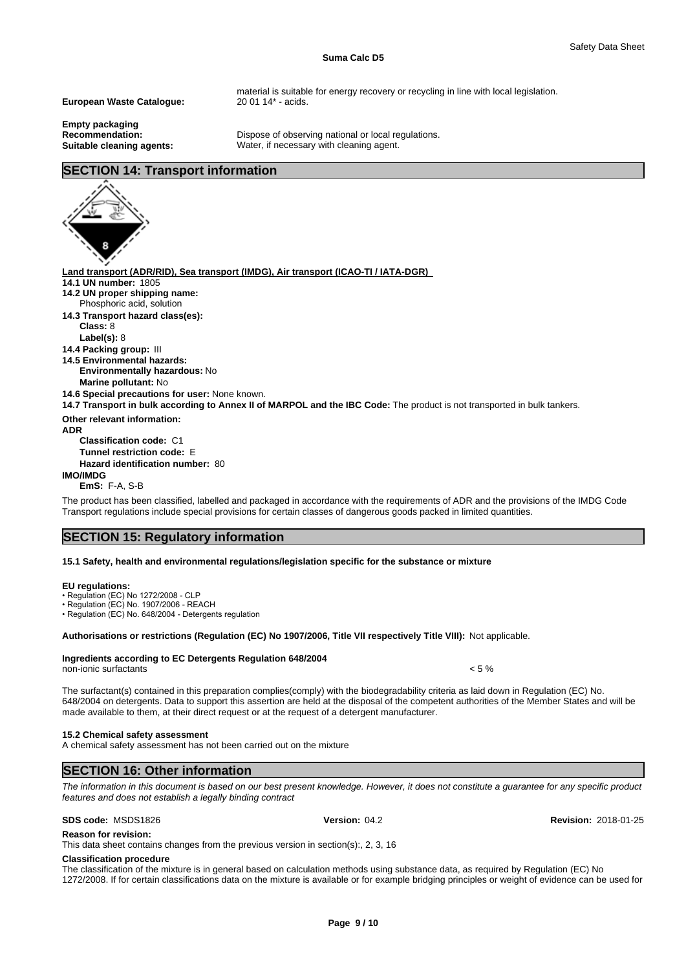#### **Suma Calc D5**

**European Waste Catalogue:** 20 01 14\* - acids.

**Empty packaging**

material is suitable for energy recovery or recycling in line with local legislation.

**Recommendation:** Dispose of observing national or local regulations.<br> **Suitable cleaning agents:** Water, if necessary with cleaning agent. Water, if necessary with cleaning agent.

# **SECTION 14: Transport information**

**Land transport (ADR/RID), Sea transport (IMDG), Air transport (ICAO-TI / IATA-DGR) 14.1 UN number:** 1805 **14.2 UN proper shipping name: 14.3 Transport hazard class(es): Class:** 8 **Label(s):** 8 **14.4 Packing group:** III **14.5 Environmental hazards: Environmentally hazardous:** No **Marine pollutant:** No **14.6 Special precautions for user:** None known. **14.7 Transport in bulk according to Annex II of MARPOL and the IBC Code:** The product is not transported in bulk tankers. **Other relevant information: ADR**  Phosphoric acid, solution

**Classification code:** C1

**Tunnel restriction code:** E **Hazard identification number:** 80

**IMO/IMDG**

**EmS:** F-A, S-B

The product has been classified, labelled and packaged in accordance with the requirements of ADR and the provisions of the IMDG Code Transport regulations include special provisions for certain classes of dangerous goods packed in limited quantities.

# **SECTION 15: Regulatory information**

#### **15.1 Safety, health and environmental regulations/legislation specific for the substance or mixture**

#### **EU regulations:**

• Regulation (EC) No 1272/2008 - CLP

• Regulation (EC) No. 1907/2006 - REACH

• Regulation (EC) No. 648/2004 - Detergents regulation

#### **Authorisations or restrictions (Regulation (EC) No 1907/2006, Title VII respectively Title VIII):** Not applicable.

### **Ingredients according to EC Detergents Regulation 648/2004**

non-ionic surfactants  $\sim$  5 %

The surfactant(s) contained in this preparation complies(comply) with the biodegradability criteria as laid down in Regulation (EC) No. 648/2004 on detergents. Data to support this assertion are held at the disposal of the competent authorities of the Member States and will be made available to them, at their direct request or at the request of a detergent manufacturer.

#### **15.2 Chemical safety assessment**

A chemical safety assessment has not been carried out on the mixture

# **SECTION 16: Other information**

*The information in this document is based on our best present knowledge. However, it does not constitute a guarantee for any specific product features and does not establish a legally binding contract*

**SDS code:** MSDS1826 **Version:** 04.2 **Revision:** 2018-01-25

**Reason for revision:**

This data sheet contains changes from the previous version in section(s):, 2, 3, 16

#### **Classification procedure**

The classification of the mixture is in general based on calculation methods using substance data, as required by Regulation (EC) No 1272/2008. If for certain classifications data on the mixture is available or for example bridging principles or weight of evidence can be used for